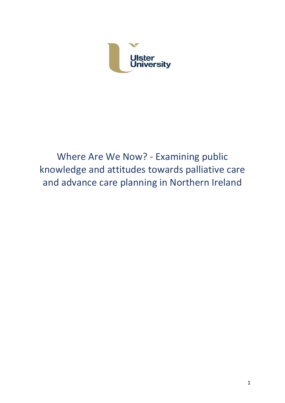

# Where Are We Now? - Examining public knowledge and attitudes towards palliative care and advance care planning in Northern Ireland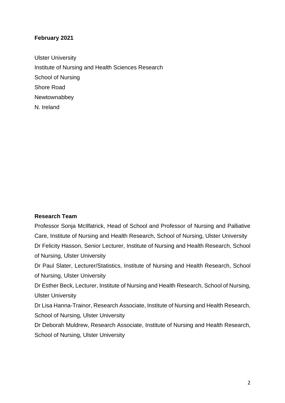## **February 2021**

Ulster University Institute of Nursing and Health Sciences Research School of Nursing Shore Road Newtownabbey N. Ireland

#### **Research Team**

Professor Sonja McIlfatrick, Head of School and Professor of Nursing and Palliative Care, Institute of Nursing and Health Research, School of Nursing, Ulster University Dr Felicity Hasson, Senior Lecturer, Institute of Nursing and Health Research, School of Nursing, Ulster University

Dr Paul Slater, Lecturer/Statistics, Institute of Nursing and Health Research, School of Nursing, Ulster University

Dr Esther Beck, Lecturer, Institute of Nursing and Health Research, School of Nursing, Ulster University

Dr Lisa Hanna-Trainor, Research Associate, Institute of Nursing and Health Research, School of Nursing, Ulster University

Dr Deborah Muldrew, Research Associate, Institute of Nursing and Health Research, School of Nursing, Ulster University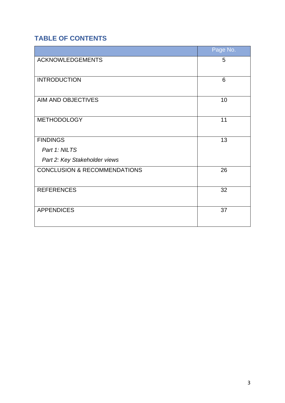## **TABLE OF CONTENTS**

|                                         | Page No. |
|-----------------------------------------|----------|
| <b>ACKNOWLEDGEMENTS</b>                 | 5        |
| <b>INTRODUCTION</b>                     | 6        |
| <b>AIM AND OBJECTIVES</b>               | 10       |
| <b>METHODOLOGY</b>                      | 11       |
| <b>FINDINGS</b>                         | 13       |
| Part 1: NILTS                           |          |
| Part 2: Key Stakeholder views           |          |
| <b>CONCLUSION &amp; RECOMMENDATIONS</b> | 26       |
| <b>REFERENCES</b>                       | 32       |
| <b>APPENDICES</b>                       | 37       |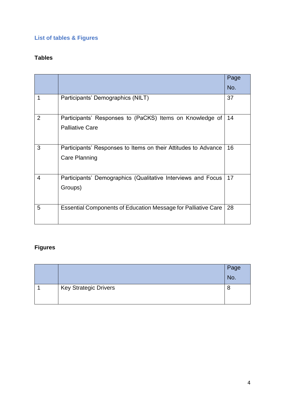## **List of tables & Figures**

## **Tables**

|                |                                                                      | Page |
|----------------|----------------------------------------------------------------------|------|
|                |                                                                      | No.  |
| 1              | Participants' Demographics (NILT)                                    | 37   |
| $\overline{2}$ | Participants' Responses to (PaCKS) Items on Knowledge of             | 14   |
|                | <b>Palliative Care</b>                                               |      |
| 3              | Participants' Responses to Items on their Attitudes to Advance       | 16   |
|                | Care Planning                                                        |      |
| 4              | Participants' Demographics (Qualitative Interviews and Focus         | 17   |
|                | Groups)                                                              |      |
| 5              | <b>Essential Components of Education Message for Palliative Care</b> | 28   |

## **Figures**

|                              | Page |
|------------------------------|------|
|                              | No.  |
| <b>Key Strategic Drivers</b> |      |
|                              |      |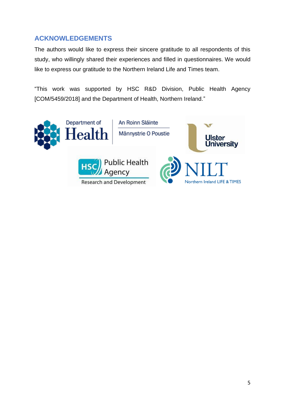## **ACKNOWLEDGEMENTS**

The authors would like to express their sincere gratitude to all respondents of this study, who willingly shared their experiences and filled in questionnaires. We would like to express our gratitude to the Northern Ireland Life and Times team.

"This work was supported by HSC R&D Division, Public Health Agency [COM/5459/2018] and the Department of Health, Northern Ireland."

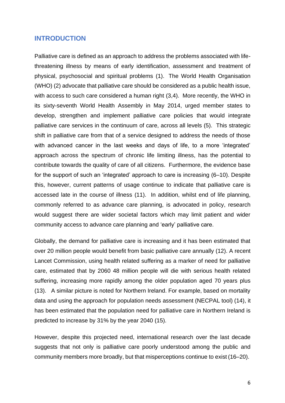## **INTRODUCTION**

Palliative care is defined as an approach to address the problems associated with lifethreatening illness by means of early identification, assessment and treatment of physical, psychosocial and spiritual problems (1). The World Health Organisation (WHO) (2) advocate that palliative care should be considered as a public health issue, with access to such care considered a human right (3,4). More recently, the WHO in its sixty-seventh World Health Assembly in May 2014, urged member states to develop, strengthen and implement palliative care policies that would integrate palliative care services in the continuum of care, across all levels (5). This strategic shift in palliative care from that of a service designed to address the needs of those with advanced cancer in the last weeks and days of life, to a more 'integrated' approach across the spectrum of chronic life limiting illness, has the potential to contribute towards the quality of care of all citizens. Furthermore, the evidence base for the support of such an 'integrated' approach to care is increasing (6–10). Despite this, however, current patterns of usage continue to indicate that palliative care is accessed late in the course of illness (11). In addition, whilst end of life planning, commonly referred to as advance care planning, is advocated in policy, research would suggest there are wider societal factors which may limit patient and wider community access to advance care planning and 'early' palliative care.

Globally, the demand for palliative care is increasing and it has been estimated that over 20 million people would benefit from basic palliative care annually (12). A recent Lancet Commission, using health related suffering as a marker of need for palliative care, estimated that by 2060 48 million people will die with serious health related suffering, increasing more rapidly among the older population aged 70 years plus (13). A similar picture is noted for Northern Ireland. For example, based on mortality data and using the approach for population needs assessment (NECPAL tool) (14), it has been estimated that the population need for palliative care in Northern Ireland is predicted to increase by 31% by the year 2040 (15).

However, despite this projected need, international research over the last decade suggests that not only is palliative care poorly understood among the public and community members more broadly, but that misperceptions continue to exist (16–20).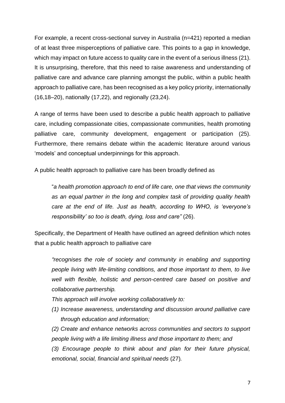For example, a recent cross-sectional survey in Australia (n=421) reported a median of at least three misperceptions of palliative care. This points to a gap in knowledge, which may impact on future access to quality care in the event of a serious illness (21). It is unsurprising, therefore, that this need to raise awareness and understanding of palliative care and advance care planning amongst the public, within a public health approach to palliative care, has been recognised as a key policy priority, internationally (16,18–20), nationally (17,22), and regionally (23,24).

A range of terms have been used to describe a public health approach to palliative care, including compassionate cities, compassionate communities, health promoting palliative care, community development, engagement or participation (25). Furthermore, there remains debate within the academic literature around various 'models' and conceptual underpinnings for this approach.

A public health approach to palliative care has been broadly defined as

"*a health promotion approach to end of life care, one that views the community as an equal partner in the long and complex task of providing quality health care at the end of life. Just as health, according to WHO, is 'everyone's responsibility' so too is death, dying, loss and care"* (26).

Specifically, the Department of Health have outlined an agreed definition which notes that a public health approach to palliative care

*"recognises the role of society and community in enabling and supporting people living with life-limiting conditions, and those important to them, to live*  well with flexible, holistic and person-centred care based on positive and *collaborative partnership.* 

*This approach will involve working collaboratively to:*

*emotional, social, financial and spiritual needs* (27)*.*

*(1) Increase awareness, understanding and discussion around palliative care through education and information;*

*(2) Create and enhance networks across communities and sectors to support people living with a life limiting illness and those important to them; and (3) Encourage people to think about and plan for their future physical,*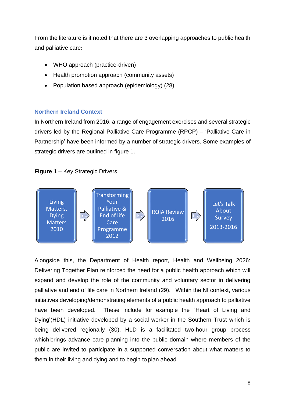From the literature is it noted that there are 3 overlapping approaches to public health and palliative care:

- WHO approach (practice-driven)
- Health promotion approach (community assets)
- Population based approach (epidemiology) (28)

## **Northern Ireland Context**

In Northern Ireland from 2016, a range of engagement exercises and several strategic drivers led by the Regional Palliative Care Programme (RPCP) – 'Palliative Care in Partnership' have been informed by a number of strategic drivers. Some examples of strategic drivers are outlined in figure 1.

## **Figure 1** – Key Strategic Drivers



Alongside this, the Department of Health report, Health and Wellbeing 2026: Delivering Together Plan reinforced the need for a public health approach which will expand and develop the role of the community and voluntary sector in delivering palliative and end of life care in Northern Ireland (29). Within the NI context, various initiatives developing/demonstrating elements of a public health approach to palliative have been developed. These include for example the `Heart of Living and Dying'(HDL) initiative developed by a social worker in the Southern Trust which is being delivered regionally (30). HLD is a facilitated two-hour group process which brings advance care planning into the public domain where members of the public are invited to participate in a supported conversation about what matters to them in their living and dying and to begin to plan ahead.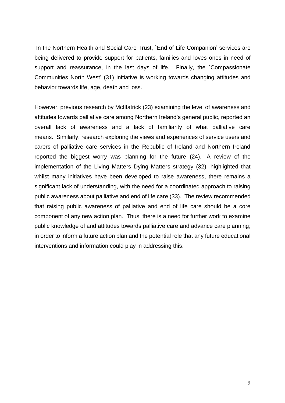In the Northern Health and Social Care Trust, `End of Life Companion' services are being delivered to provide support for patients, families and loves ones in need of support and reassurance, in the last days of life. Finally, the `Compassionate Communities North West' (31) initiative is working towards changing attitudes and behavior towards life, age, death and loss.

However, previous research by McIlfatrick (23) examining the level of awareness and attitudes towards palliative care among Northern Ireland's general public, reported an overall lack of awareness and a lack of familiarity of what palliative care means. Similarly, research exploring the views and experiences of service users and carers of palliative care services in the Republic of Ireland and Northern Ireland reported the biggest worry was planning for the future (24). A review of the implementation of the Living Matters Dying Matters strategy (32), highlighted that whilst many initiatives have been developed to raise awareness, there remains a significant lack of understanding, with the need for a coordinated approach to raising public awareness about palliative and end of life care (33). The review recommended that raising public awareness of palliative and end of life care should be a core component of any new action plan. Thus, there is a need for further work to examine public knowledge of and attitudes towards palliative care and advance care planning; in order to inform a future action plan and the potential role that any future educational interventions and information could play in addressing this.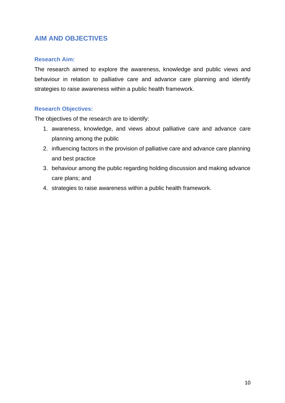## **AIM AND OBJECTIVES**

## **Research Aim:**

The research aimed to explore the awareness, knowledge and public views and behaviour in relation to palliative care and advance care planning and identify strategies to raise awareness within a public health framework.

## **Research Objectives:**

The objectives of the research are to identify:

- 1. awareness, knowledge, and views about palliative care and advance care planning among the public
- 2. influencing factors in the provision of palliative care and advance care planning and best practice
- 3. behaviour among the public regarding holding discussion and making advance care plans; and
- 4. strategies to raise awareness within a public health framework.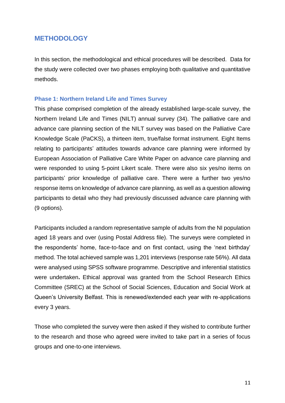## **METHODOLOGY**

In this section, the methodological and ethical procedures will be described. Data for the study were collected over two phases employing both qualitative and quantitative methods.

#### **Phase 1: Northern Ireland Life and Times Survey**

This phase comprised completion of the already established large-scale survey, the Northern Ireland Life and Times (NILT) annual survey (34). The palliative care and advance care planning section of the NILT survey was based on the Palliative Care Knowledge Scale (PaCKS), a thirteen item, true/false format instrument. Eight Items relating to participants' attitudes towards advance care planning were informed by European Association of Palliative Care White Paper on advance care planning and were responded to using 5-point Likert scale. There were also six yes/no items on participants' prior knowledge of palliative care. There were a further two yes/no response items on knowledge of advance care planning, as well as a question allowing participants to detail who they had previously discussed advance care planning with (9 options).

Participants included a random representative sample of adults from the NI population aged 18 years and over (using Postal Address file). The surveys were completed in the respondents' home, face-to-face and on first contact, using the 'next birthday' method. The total achieved sample was 1,201 interviews (response rate 56%). All data were analysed using SPSS software programme. Descriptive and inferential statistics were undertaken**.** Ethical approval was granted from the School Research Ethics Committee (SREC) at the School of Social Sciences, Education and Social Work at Queen's University Belfast. This is renewed/extended each year with re-applications every 3 years.

Those who completed the survey were then asked if they wished to contribute further to the research and those who agreed were invited to take part in a series of focus groups and one-to-one interviews.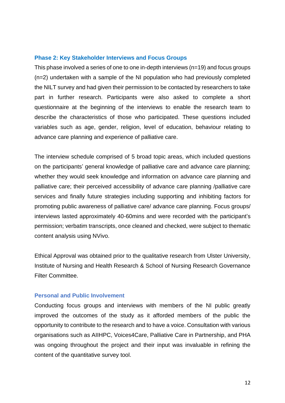### **Phase 2: Key Stakeholder Interviews and Focus Groups**

This phase involved a series of one to one in-depth interviews (n=19) and focus groups (n=2) undertaken with a sample of the NI population who had previously completed the NILT survey and had given their permission to be contacted by researchers to take part in further research. Participants were also asked to complete a short questionnaire at the beginning of the interviews to enable the research team to describe the characteristics of those who participated. These questions included variables such as age, gender, religion, level of education, behaviour relating to advance care planning and experience of palliative care.

The interview schedule comprised of 5 broad topic areas, which included questions on the participants' general knowledge of palliative care and advance care planning; whether they would seek knowledge and information on advance care planning and palliative care; their perceived accessibility of advance care planning /palliative care services and finally future strategies including supporting and inhibiting factors for promoting public awareness of palliative care/ advance care planning. Focus groups/ interviews lasted approximately 40-60mins and were recorded with the participant's permission; verbatim transcripts, once cleaned and checked, were subject to thematic content analysis using NVivo.

Ethical Approval was obtained prior to the qualitative research from Ulster University, Institute of Nursing and Health Research & School of Nursing Research Governance Filter Committee.

## **Personal and Public Involvement**

Conducting focus groups and interviews with members of the NI public greatly improved the outcomes of the study as it afforded members of the public the opportunity to contribute to the research and to have a voice. Consultation with various organisations such as AIIHPC, Voices4Care, Palliative Care in Partnership, and PHA was ongoing throughout the project and their input was invaluable in refining the content of the quantitative survey tool.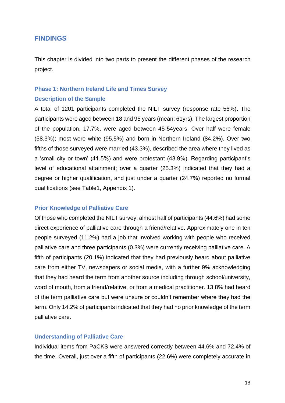## **FINDINGS**

This chapter is divided into two parts to present the different phases of the research project.

## **Phase 1: Northern Ireland Life and Times Survey Description of the Sample**

A total of 1201 participants completed the NILT survey (response rate 56%). The participants were aged between 18 and 95 years (mean: 61yrs). The largest proportion of the population, 17.7%, were aged between 45-54years. Over half were female (58.3%); most were white (95.5%) and born in Northern Ireland (84.2%). Over two fifths of those surveyed were married (43.3%), described the area where they lived as a 'small city or town' (41.5%) and were protestant (43.9%). Regarding participant's level of educational attainment; over a quarter (25.3%) indicated that they had a degree or higher qualification, and just under a quarter (24.7%) reported no formal qualifications (see Table1, Appendix 1).

### **Prior Knowledge of Palliative Care**

Of those who completed the NILT survey, almost half of participants (44.6%) had some direct experience of palliative care through a friend/relative. Approximately one in ten people surveyed (11.2%) had a job that involved working with people who received palliative care and three participants (0.3%) were currently receiving palliative care. A fifth of participants (20.1%) indicated that they had previously heard about palliative care from either TV, newspapers or social media, with a further 9% acknowledging that they had heard the term from another source including through school/university, word of mouth, from a friend/relative, or from a medical practitioner. 13.8% had heard of the term palliative care but were unsure or couldn't remember where they had the term. Only 14.2% of participants indicated that they had no prior knowledge of the term palliative care.

### **Understanding of Palliative Care**

Individual items from PaCKS were answered correctly between 44.6% and 72.4% of the time. Overall, just over a fifth of participants (22.6%) were completely accurate in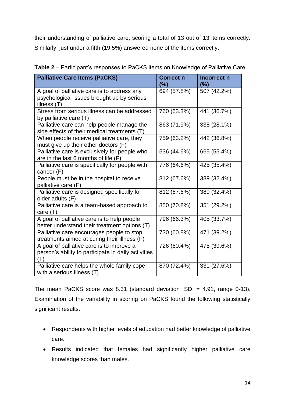their understanding of palliative care, scoring a total of 13 out of 13 items correctly. Similarly, just under a fifth (19.5%) answered none of the items correctly.

| <b>Palliative Care Items (PaCKS)</b>                                                                     | <b>Correct n</b> | Incorrect n |
|----------------------------------------------------------------------------------------------------------|------------------|-------------|
|                                                                                                          | (%)              | (%)         |
| A goal of palliative care is to address any<br>psychological issues brought up by serious<br>illness (T) | 694 (57.8%)      | 507 (42.2%) |
| Stress from serious illness can be addressed<br>by palliative care (T)                                   | 760 (63.3%)      | 441 (36.7%) |
| Palliative care can help people manage the<br>side effects of their medical treatments (T)               | 863 (71.9%)      | 338 (28.1%) |
| When people receive palliative care, they<br>must give up their other doctors (F)                        | 759 (63.2%)      | 442 (36.8%) |
| Palliative care is exclusively for people who<br>are in the last 6 months of life (F)                    | 536 (44.6%)      | 665 (55.4%) |
| Palliative care is specifically for people with<br>cancer (F)                                            | 776 (64.6%)      | 425 (35.4%) |
| People must be in the hospital to receive<br>palliative care (F)                                         | 812 (67.6%)      | 389 (32.4%) |
| Palliative care is designed specifically for<br>older adults (F)                                         | 812 (67.6%)      | 389 (32.4%) |
| Palliative care is a team-based approach to<br>care $(T)$                                                | 850 (70.8%)      | 351 (29.2%) |
| A goal of palliative care is to help people<br>better understand their treatment options (T)             | 796 (66.3%)      | 405 (33.7%) |
| Palliative care encourages people to stop<br>treatments aimed at curing their illness (F)                | 730 (60.8%)      | 471 (39.2%) |
| A goal of palliative care is to improve a<br>person's ability to participate in daily activities<br>(T   | 726 (60.4%)      | 475 (39.6%) |
| Palliative care helps the whole family cope<br>with a serious illness (T)                                | 870 (72.4%)      | 331 (27.6%) |

The mean PaCKS score was 8.31 (standard deviation [SD] = 4.91, range 0-13). Examination of the variability in scoring on PaCKS found the following statistically significant results.

- Respondents with higher levels of education had better knowledge of palliative care.
- Results indicated that females had significantly higher palliative care knowledge scores than males.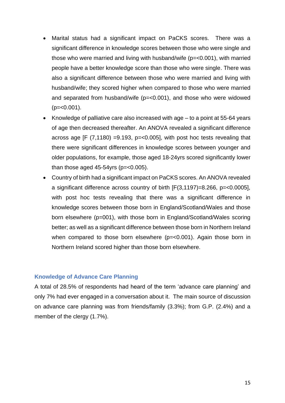- Marital status had a significant impact on PaCKS scores. There was a significant difference in knowledge scores between those who were single and those who were married and living with husband/wife (p=<0.001), with married people have a better knowledge score than those who were single. There was also a significant difference between those who were married and living with husband/wife; they scored higher when compared to those who were married and separated from husband/wife (p=<0.001), and those who were widowed  $(p=<0.001)$ .
- Knowledge of palliative care also increased with age to a point at 55-64 years of age then decreased thereafter. An ANOVA revealed a significant difference across age  $[F (7,1180) = 9.193, p = 0.005]$ , with post hoc tests revealing that there were significant differences in knowledge scores between younger and older populations, for example, those aged 18-24yrs scored significantly lower than those aged  $45-54$ yrs ( $p=<0.005$ ).
- Country of birth had a significant impact on PaCKS scores. An ANOVA revealed a significant difference across country of birth [F(3,1197)=8.266, p=<0.0005], with post hoc tests revealing that there was a significant difference in knowledge scores between those born in England/Scotland/Wales and those born elsewhere (p=001), with those born in England/Scotland/Wales scoring better; as well as a significant difference between those born in Northern Ireland when compared to those born elsewhere (p=<0.001). Again those born in Northern Ireland scored higher than those born elsewhere.

#### **Knowledge of Advance Care Planning**

A total of 28.5% of respondents had heard of the term 'advance care planning' and only 7% had ever engaged in a conversation about it. The main source of discussion on advance care planning was from friends/family (3.3%); from G.P. (2.4%) and a member of the clergy (1.7%).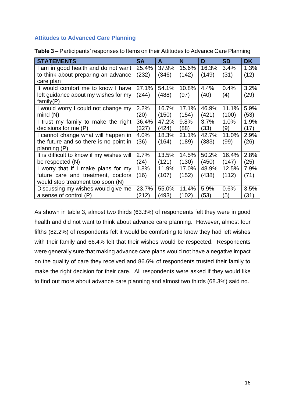## **Attitudes to Advanced Care Planning**

| <b>STATEMENTS</b>                         | <b>SA</b> | A     | N     | D     | <b>SD</b> | <b>DK</b> |
|-------------------------------------------|-----------|-------|-------|-------|-----------|-----------|
| I am in good health and do not want       | 25.4%     | 37.9% | 15.6% | 16.3% | 3.4%      | 1.3%      |
| to think about preparing an advance       | (232)     | (346) | (142) | (149) | (31)      | (12)      |
| care plan                                 |           |       |       |       |           |           |
| It would comfort me to know I have        | 27.1%     | 54.1% | 10.8% | 4.4%  | 0.4%      | 3.2%      |
| left guidance about my wishes for my      | (244)     | (488) | (97)  | (40)  | (4)       | (29)      |
| family(P)                                 |           |       |       |       |           |           |
| I would worry I could not change my       | 2.2%      | 16.7% | 17.1% | 46.9% | 11.1%     | 5.9%      |
| mind(N)                                   | (20)      | (150) | (154) | (421) | (100)     | (53)      |
| I trust my family to make the right       | 36.4%     | 47.2% | 9.8%  | 3.7%  | 1.0%      | 1.9%      |
| decisions for me (P)                      | (327)     | (424) | (88)  | (33)  | (9)       | (17)      |
| I cannot change what will happen in       | 4.0%      | 18.3% | 21.1% | 42.7% | 11.0%     | 2.9%      |
| the future and so there is no point in    | (36)      | (164) | (189) | (383) | (99)      | (26)      |
| planning (P)                              |           |       |       |       |           |           |
| It is difficult to know if my wishes will | 2.7%      | 13.5% | 14.5% | 50.2% | 16.4%     | 2.8%      |
| be respected (N)                          | (24)      | (121) | (130) | (450) | (147)     | (25)      |
| I worry that if I make plans for my       | 1.8%      | 11.9% | 17.0% | 48.9% | 12.5%     | 7.9%      |
| future care and treatment, doctors        | (16)      | (107) | (152) | (438) | (112)     | (71)      |
| would stop treatment too soon (N)         |           |       |       |       |           |           |
| Discussing my wishes would give me        | 23.7%     | 55.0% | 11.4% | 5.9%  | 0.6%      | 3.5%      |
| a sense of control (P)                    | (212)     | (493) | (102) | (53)  | (5)       | (31)      |

**Table 3** – Participants' responses to Items on their Attitudes to Advance Care Planning

As shown in table 3, almost two thirds (63.3%) of respondents felt they were in good health and did not want to think about advance care planning. However, almost four fifths (82.2%) of respondents felt it would be comforting to know they had left wishes with their family and 66.4% felt that their wishes would be respected. Respondents were generally sure that making advance care plans would not have a negative impact on the quality of care they received and 86.6% of respondents trusted their family to make the right decision for their care. All respondents were asked if they would like to find out more about advance care planning and almost two thirds (68.3%) said no.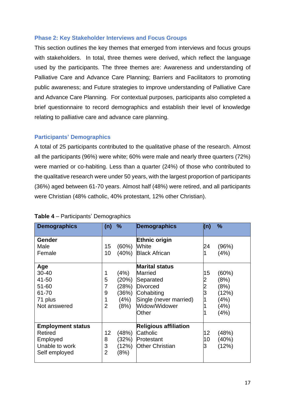## **Phase 2: Key Stakeholder Interviews and Focus Groups**

This section outlines the key themes that emerged from interviews and focus groups with stakeholders. In total, three themes were derived, which reflect the language used by the participants. The three themes are: Awareness and understanding of Palliative Care and Advance Care Planning; Barriers and Facilitators to promoting public awareness; and Future strategies to improve understanding of Palliative Care and Advance Care Planning. For contextual purposes, participants also completed a brief questionnaire to record demographics and establish their level of knowledge relating to palliative care and advance care planning.

## **Participants' Demographics**

A total of 25 participants contributed to the qualitative phase of the research. Almost all the participants (96%) were white; 60% were male and nearly three quarters (72%) were married or co-habiting. Less than a quarter (24%) of those who contributed to the qualitative research were under 50 years, with the largest proportion of participants (36%) aged between 61-70 years. Almost half (48%) were retired, and all participants were Christian (48% catholic, 40% protestant, 12% other Christian).

| <b>Demographics</b>      | (n)            | $\frac{9}{6}$ | <b>Demographics</b>          | (n) | %     |
|--------------------------|----------------|---------------|------------------------------|-----|-------|
| Gender                   |                |               | Ethnic origin                |     |       |
| Male                     | 15             | (60%)         | White                        | 24  | (96%) |
| Female                   | 10             | (40%)         | <b>Black African</b>         |     | (4%)  |
| Age                      |                |               | <b>Marital status</b>        |     |       |
| 30-40                    |                | (4%)          | <b>Married</b>               | 15  | (60%) |
| 41-50                    | 5              | (20%)         | Separated                    |     | (8%)  |
| 51-60                    | 7              | (28%)         | <b>Divorced</b>              |     | (8%)  |
| 61-70                    | 9              | (36%)         | Cohabiting                   | 3   | (12%) |
| 71 plus                  |                | (4%)          | Single (never married)       |     | (4%)  |
| Not answered             | $\overline{2}$ | (8%)          | Widow/Widower                |     | (4%)  |
|                          |                |               | lOther                       |     | (4%)  |
| <b>Employment status</b> |                |               | <b>Religious affiliation</b> |     |       |
| <b>Retired</b>           | 12             | (48%)         | Catholic                     | 12  | (48%) |
| Employed                 | 8              | (32%)         | Protestant                   | 10  | (40%) |
| Unable to work           | 3              | (12%)         | <b>Other Christian</b>       | 3   | (12%) |
| Self employed            | $\overline{2}$ | (8%)          |                              |     |       |

## **Table 4** – Participants' Demographics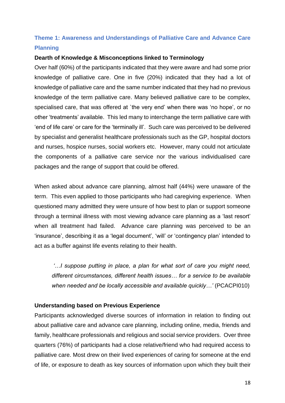## **Theme 1: Awareness and Understandings of Palliative Care and Advance Care Planning**

## **Dearth of Knowledge & Misconceptions linked to Terminology**

Over half (60%) of the participants indicated that they were aware and had some prior knowledge of palliative care. One in five (20%) indicated that they had a lot of knowledge of palliative care and the same number indicated that they had no previous knowledge of the term palliative care. Many believed palliative care to be complex, specialised care, that was offered at `the very end' when there was 'no hope', or no other 'treatments' available. This led many to interchange the term palliative care with 'end of life care' or care for the 'terminally ill'. Such care was perceived to be delivered by specialist and generalist healthcare professionals such as the GP, hospital doctors and nurses, hospice nurses, social workers etc. However, many could not articulate the components of a palliative care service nor the various individualised care packages and the range of support that could be offered.

When asked about advance care planning, almost half (44%) were unaware of the term. This even applied to those participants who had caregiving experience. When questioned many admitted they were unsure of how best to plan or support someone through a terminal illness with most viewing advance care planning as a 'last resort' when all treatment had failed. Advance care planning was perceived to be an 'insurance', describing it as a 'legal document', 'will' or 'contingency plan' intended to act as a buffer against life events relating to their health.

*'…I suppose putting in place, a plan for what sort of care you might need, different circumstances, different health issues… for a service to be available when needed and be locally accessible and available quickly…'* (PCACPI010)

### **Understanding based on Previous Experience**

Participants acknowledged diverse sources of information in relation to finding out about palliative care and advance care planning, including online, media, friends and family, healthcare professionals and religious and social service providers. Over three quarters (76%) of participants had a close relative/friend who had required access to palliative care. Most drew on their lived experiences of caring for someone at the end of life, or exposure to death as key sources of information upon which they built their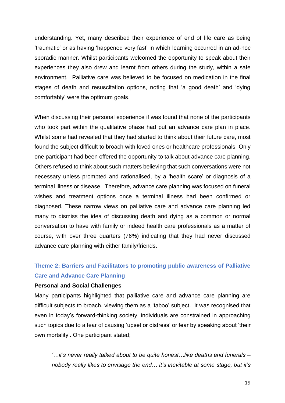understanding. Yet, many described their experience of end of life care as being 'traumatic' or as having 'happened very fast' in which learning occurred in an ad-hoc sporadic manner. Whilst participants welcomed the opportunity to speak about their experiences they also drew and learnt from others during the study, within a safe environment. Palliative care was believed to be focused on medication in the final stages of death and resuscitation options, noting that 'a good death' and 'dying comfortably' were the optimum goals.

When discussing their personal experience if was found that none of the participants who took part within the qualitative phase had put an advance care plan in place. Whilst some had revealed that they had started to think about their future care, most found the subject difficult to broach with loved ones or healthcare professionals. Only one participant had been offered the opportunity to talk about advance care planning. Others refused to think about such matters believing that such conversations were not necessary unless prompted and rationalised, by a 'health scare' or diagnosis of a terminal illness or disease. Therefore, advance care planning was focused on funeral wishes and treatment options once a terminal illness had been confirmed or diagnosed. These narrow views on palliative care and advance care planning led many to dismiss the idea of discussing death and dying as a common or normal conversation to have with family or indeed health care professionals as a matter of course, with over three quarters (76%) indicating that they had never discussed advance care planning with either family/friends.

## **Theme 2: Barriers and Facilitators to promoting public awareness of Palliative Care and Advance Care Planning**

#### **Personal and Social Challenges**

Many participants highlighted that palliative care and advance care planning are difficult subjects to broach, viewing them as a 'taboo' subject. It was recognised that even in today's forward-thinking society, individuals are constrained in approaching such topics due to a fear of causing 'upset or distress' or fear by speaking about 'their own mortality'. One participant stated;

*'…it's never really talked about to be quite honest…like deaths and funerals – nobody really likes to envisage the end… it's inevitable at some stage, but it's*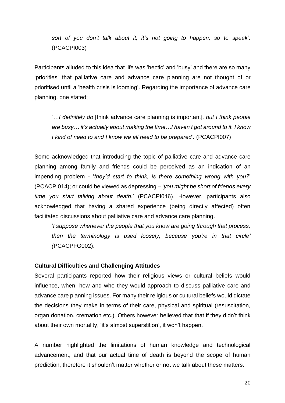*sort of you don't talk about it, it's not going to happen, so to speak'.*  (PCACPI003)

Participants alluded to this idea that life was 'hectic' and 'busy' and there are so many 'priorities' that palliative care and advance care planning are not thought of or prioritised until a 'health crisis is looming'. Regarding the importance of advance care planning, one stated;

*'…I definitely do* [think advance care planning is important]*, but I think people are busy… it's actually about making the time…I haven't got around to it. I know I kind of need to and I know we all need to be prepared'.* (PCACPI007)

Some acknowledged that introducing the topic of palliative care and advance care planning among family and friends could be perceived as an indication of an impending problem - '*they'd start to think, is there something wrong with you?*' (PCACPI014); or could be viewed as depressing – '*you might be short of friends every time you start talking about death.*' (PCACPI016). However, participants also acknowledged that having a shared experience (being directly affected) often facilitated discussions about palliative care and advance care planning.

'*I suppose whenever the people that you know are going through that process, then the terminology is used loosely, because you're in that circle' (*PCACPFG002).

#### **Cultural Difficulties and Challenging Attitudes**

Several participants reported how their religious views or cultural beliefs would influence, when, how and who they would approach to discuss palliative care and advance care planning issues. For many their religious or cultural beliefs would dictate the decisions they make in terms of their care, physical and spiritual (resuscitation, organ donation, cremation etc.). Others however believed that that if they didn't think about their own mortality, 'it's almost superstition', it won't happen.

A number highlighted the limitations of human knowledge and technological advancement, and that our actual time of death is beyond the scope of human prediction, therefore it shouldn't matter whether or not we talk about these matters.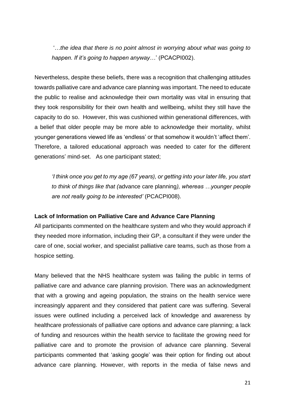'…*the idea that there is no point almost in worrying about what was going to happen. If it's going to happen anyway*…' (PCACPI002).

Nevertheless, despite these beliefs, there was a recognition that challenging attitudes towards palliative care and advance care planning was important. The need to educate the public to realise and acknowledge their own mortality was vital in ensuring that they took responsibility for their own health and wellbeing, whilst they still have the capacity to do so. However, this was cushioned within generational differences, with a belief that older people may be more able to acknowledge their mortality, whilst younger generations viewed life as 'endless' or that somehow it wouldn't 'affect them'. Therefore, a tailored educational approach was needed to cater for the different generations' mind-set. As one participant stated;

*'I think once you get to my age (67 years), or getting into your later life, you start to think of things like that (*advance care planning*), whereas …younger people are not really going to be interested'* (PCACPI008).

### **Lack of Information on Palliative Care and Advance Care Planning**

All participants commented on the healthcare system and who they would approach if they needed more information, including their GP, a consultant if they were under the care of one, social worker, and specialist palliative care teams, such as those from a hospice setting.

Many believed that the NHS healthcare system was failing the public in terms of palliative care and advance care planning provision. There was an acknowledgment that with a growing and ageing population, the strains on the health service were increasingly apparent and they considered that patient care was suffering. Several issues were outlined including a perceived lack of knowledge and awareness by healthcare professionals of palliative care options and advance care planning; a lack of funding and resources within the health service to facilitate the growing need for palliative care and to promote the provision of advance care planning. Several participants commented that 'asking google' was their option for finding out about advance care planning. However, with reports in the media of false news and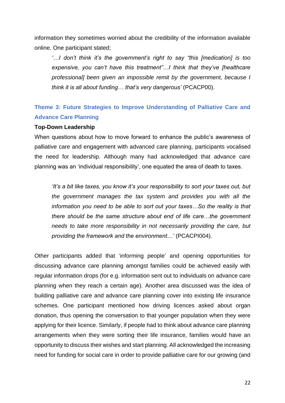information they sometimes worried about the credibility of the information available online. One participant stated;

*'…I don't think it's the government's right to say "this [medication] is too expensive, you can't have this treatment"…I think that they've [healthcare professional] been given an impossible remit by the government, because I think it is all about funding… that's very dangerous'* (PCACP00).

## **Theme 3: Future Strategies to Improve Understanding of Palliative Care and Advance Care Planning**

#### **Top-Down Leadership**

When questions about how to move forward to enhance the public's awareness of palliative care and engagement with advanced care planning, participants vocalised the need for leadership. Although many had acknowledged that advance care planning was an 'individual responsibility', one equated the area of death to taxes.

*'It's a bit like taxes, you know it's your responsibility to sort your taxes out, but the government manages the tax system and provides you with all the information you need to be able to sort out your taxes…So the reality is that there should be the same structure about end of life care…the government needs to take more responsibility in not necessarily providing the care, but providing the framework and the environment…'* (PCACPI004).

Other participants added that 'informing people' and opening opportunities for discussing advance care planning amongst families could be achieved easily with regular information drops (for e.g. information sent out to individuals on advance care planning when they reach a certain age). Another area discussed was the idea of building palliative care and advance care planning cover into existing life insurance schemes. One participant mentioned how driving licences asked about organ donation, thus opening the conversation to that younger population when they were applying for their licence. Similarly, if people had to think about advance care planning arrangements when they were sorting their life insurance, families would have an opportunity to discuss their wishes and start planning. All acknowledged the increasing need for funding for social care in order to provide palliative care for our growing (and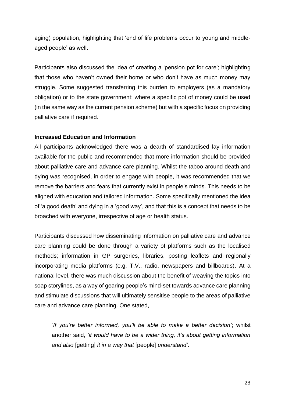aging) population, highlighting that 'end of life problems occur to young and middleaged people' as well.

Participants also discussed the idea of creating a 'pension pot for care'; highlighting that those who haven't owned their home or who don't have as much money may struggle. Some suggested transferring this burden to employers (as a mandatory obligation) or to the state government; where a specific pot of money could be used (in the same way as the current pension scheme) but with a specific focus on providing palliative care if required.

### **Increased Education and Information**

All participants acknowledged there was a dearth of standardised lay information available for the public and recommended that more information should be provided about palliative care and advance care planning. Whilst the taboo around death and dying was recognised, in order to engage with people, it was recommended that we remove the barriers and fears that currently exist in people's minds. This needs to be aligned with education and tailored information. Some specifically mentioned the idea of 'a good death' and dying in a 'good way', and that this is a concept that needs to be broached with everyone, irrespective of age or health status.

Participants discussed how disseminating information on palliative care and advance care planning could be done through a variety of platforms such as the localised methods; information in GP surgeries, libraries, posting leaflets and regionally incorporating media platforms (e.g. T.V., radio, newspapers and billboards). At a national level, there was much discussion about the benefit of weaving the topics into soap storylines, as a way of gearing people's mind-set towards advance care planning and stimulate discussions that will ultimately sensitise people to the areas of palliative care and advance care planning. One stated,

*'If you're better informed, you'll be able to make a better decision'*; whilst another said, *'it would have to be a wider thing, it's about getting information and also* [getting] *it in a way that* [people] *understand'*.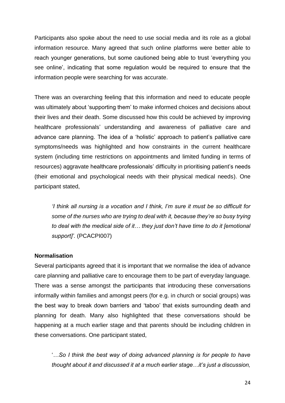Participants also spoke about the need to use social media and its role as a global information resource. Many agreed that such online platforms were better able to reach younger generations, but some cautioned being able to trust 'everything you see online', indicating that some regulation would be required to ensure that the information people were searching for was accurate.

There was an overarching feeling that this information and need to educate people was ultimately about 'supporting them' to make informed choices and decisions about their lives and their death. Some discussed how this could be achieved by improving healthcare professionals' understanding and awareness of palliative care and advance care planning. The idea of a 'holistic' approach to patient's palliative care symptoms/needs was highlighted and how constraints in the current healthcare system (including time restrictions on appointments and limited funding in terms of resources) aggravate healthcare professionals' difficulty in prioritising patient's needs (their emotional and psychological needs with their physical medical needs). One participant stated,

*'I think all nursing is a vocation and I think, I'm sure it must be so difficult for some of the nurses who are trying to deal with it, because they're so busy trying to deal with the medical side of it… they just don't have time to do it [emotional support]'.* (PCACPI007)

### **Normalisation**

Several participants agreed that it is important that we normalise the idea of advance care planning and palliative care to encourage them to be part of everyday language. There was a sense amongst the participants that introducing these conversations informally within families and amongst peers (for e.g. in church or social groups) was the best way to break down barriers and 'taboo' that exists surrounding death and planning for death. Many also highlighted that these conversations should be happening at a much earlier stage and that parents should be including children in these conversations. One participant stated,

'*…So I think the best way of doing advanced planning is for people to have thought about it and discussed it at a much earlier stage…it's just a discussion,*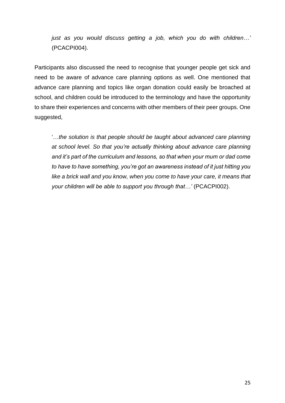*just as you would discuss getting a job, which you do with children…'*  (PCACPI004).

Participants also discussed the need to recognise that younger people get sick and need to be aware of advance care planning options as well. One mentioned that advance care planning and topics like organ donation could easily be broached at school, and children could be introduced to the terminology and have the opportunity to share their experiences and concerns with other members of their peer groups. One suggested,

'…*the solution is that people should be taught about advanced care planning at school level. So that you're actually thinking about advance care planning and it's part of the curriculum and lessons, so that when your mum or dad come to have to have something, you're got an awareness instead of it just hitting you like a brick wall and you know, when you come to have your care, it means that your children will be able to support you through that...'* (PCACPI002).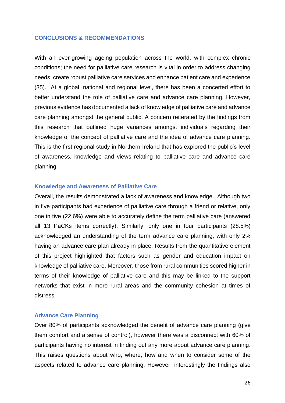#### **CONCLUSIONS & RECOMMENDATIONS**

With an ever-growing ageing population across the world, with complex chronic conditions; the need for palliative care research is vital in order to address changing needs, create robust palliative care services and enhance patient care and experience (35). At a global, national and regional level, there has been a concerted effort to better understand the role of palliative care and advance care planning. However, previous evidence has documented a lack of knowledge of palliative care and advance care planning amongst the general public. A concern reiterated by the findings from this research that outlined huge variances amongst individuals regarding their knowledge of the concept of palliative care and the idea of advance care planning. This is the first regional study in Northern Ireland that has explored the public's level of awareness, knowledge and views relating to palliative care and advance care planning.

#### **Knowledge and Awareness of Palliative Care**

Overall, the results demonstrated a lack of awareness and knowledge. Although two in five participants had experience of palliative care through a friend or relative, only one in five (22.6%) were able to accurately define the term palliative care (answered all 13 PaCKs items correctly). Similarly, only one in four participants (28.5%) acknowledged an understanding of the term advance care planning, with only 2% having an advance care plan already in place. Results from the quantitative element of this project highlighted that factors such as gender and education impact on knowledge of palliative care. Moreover, those from rural communities scored higher in terms of their knowledge of palliative care and this may be linked to the support networks that exist in more rural areas and the community cohesion at times of distress.

#### **Advance Care Planning**

Over 80% of participants acknowledged the benefit of advance care planning (give them comfort and a sense of control), however there was a disconnect with 60% of participants having no interest in finding out any more about advance care planning. This raises questions about who, where, how and when to consider some of the aspects related to advance care planning. However, interestingly the findings also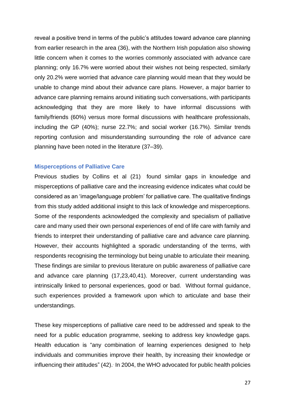reveal a positive trend in terms of the public's attitudes toward advance care planning from earlier research in the area (36), with the Northern Irish population also showing little concern when it comes to the worries commonly associated with advance care planning; only 16.7% were worried about their wishes not being respected, similarly only 20.2% were worried that advance care planning would mean that they would be unable to change mind about their advance care plans. However, a major barrier to advance care planning remains around initiating such conversations, with participants acknowledging that they are more likely to have informal discussions with family/friends (60%) versus more formal discussions with healthcare professionals, including the GP (40%); nurse 22.7%; and social worker (16.7%). Similar trends reporting confusion and misunderstanding surrounding the role of advance care planning have been noted in the literature (37–39).

#### **Misperceptions of Palliative Care**

Previous studies by Collins et al (21) found similar gaps in knowledge and misperceptions of palliative care and the increasing evidence indicates what could be considered as an 'image/language problem' for palliative care. The qualitative findings from this study added additional insight to this lack of knowledge and misperceptions. Some of the respondents acknowledged the complexity and specialism of palliative care and many used their own personal experiences of end of life care with family and friends to interpret their understanding of palliative care and advance care planning. However, their accounts highlighted a sporadic understanding of the terms, with respondents recognising the terminology but being unable to articulate their meaning. These findings are similar to previous literature on public awareness of palliative care and advance care planning (17,23,40,41). Moreover, current understanding was intrinsically linked to personal experiences, good or bad. Without formal guidance, such experiences provided a framework upon which to articulate and base their understandings.

These key misperceptions of palliative care need to be addressed and speak to the need for a public education programme, seeking to address key knowledge gaps. Health education is "any combination of learning experiences designed to help individuals and communities improve their health, by increasing their knowledge or influencing their attitudes" (42). . In 2004, the WHO advocated for public health policies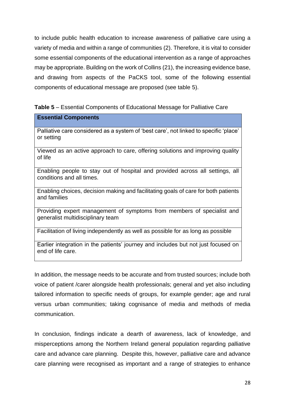to include public health education to increase awareness of palliative care using a variety of media and within a range of communities (2). Therefore, it is vital to consider some essential components of the educational intervention as a range of approaches may be appropriate. Building on the work of Collins (21), the increasing evidence base, and drawing from aspects of the PaCKS tool, some of the following essential components of educational message are proposed (see table 5).

**Table 5** – Essential Components of Educational Message for Palliative Care

|  | <b>Essential Components</b> |
|--|-----------------------------|
|--|-----------------------------|

Palliative care considered as a system of 'best care', not linked to specific 'place' or setting

Viewed as an active approach to care, offering solutions and improving quality of life

Enabling people to stay out of hospital and provided across all settings, all conditions and all times.

Enabling choices, decision making and facilitating goals of care for both patients and families

Providing expert management of symptoms from members of specialist and generalist multidisciplinary team

Facilitation of living independently as well as possible for as long as possible

Earlier integration in the patients' journey and includes but not just focused on end of life care.

In addition, the message needs to be accurate and from trusted sources; include both voice of patient /carer alongside health professionals; general and yet also including tailored information to specific needs of groups, for example gender; age and rural versus urban communities; taking cognisance of media and methods of media communication.

In conclusion, findings indicate a dearth of awareness, lack of knowledge, and misperceptions among the Northern Ireland general population regarding palliative care and advance care planning. Despite this, however, palliative care and advance care planning were recognised as important and a range of strategies to enhance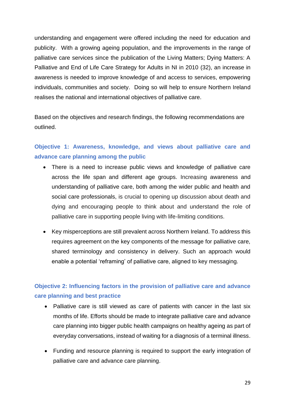understanding and engagement were offered including the need for education and publicity. With a growing ageing population, and the improvements in the range of palliative care services since the publication of the Living Matters; Dying Matters: A Palliative and End of Life Care Strategy for Adults in NI in 2010 (32), an increase in awareness is needed to improve knowledge of and access to services, empowering individuals, communities and society. Doing so will help to ensure Northern Ireland realises the national and international objectives of palliative care.

Based on the objectives and research findings, the following recommendations are outlined.

## **Objective 1: Awareness, knowledge, and views about palliative care and advance care planning among the public**

- There is a need to increase public views and knowledge of palliative care across the life span and different age groups. Increasing awareness and understanding of palliative care, both among the wider public and health and social care professionals, is crucial to opening up discussion about death and dying and encouraging people to think about and understand the role of palliative care in supporting people living with life-limiting conditions.
- Key misperceptions are still prevalent across Northern Ireland. To address this requires agreement on the key components of the message for palliative care, shared terminology and consistency in delivery. Such an approach would enable a potential 'reframing' of palliative care, aligned to key messaging.

## **Objective 2: Influencing factors in the provision of palliative care and advance care planning and best practice**

- Palliative care is still viewed as care of patients with cancer in the last six months of life. Efforts should be made to integrate palliative care and advance care planning into bigger public health campaigns on healthy ageing as part of everyday conversations, instead of waiting for a diagnosis of a terminal illness.
- Funding and resource planning is required to support the early integration of palliative care and advance care planning.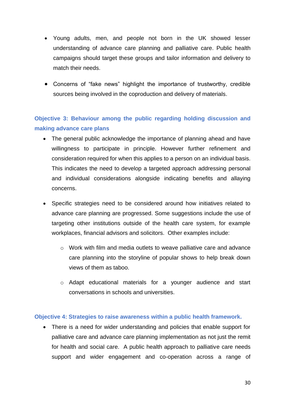- Young adults, men, and people not born in the UK showed lesser understanding of advance care planning and palliative care. Public health campaigns should target these groups and tailor information and delivery to match their needs.
- Concerns of "fake news" highlight the importance of trustworthy, credible sources being involved in the coproduction and delivery of materials.

## **Objective 3: Behaviour among the public regarding holding discussion and making advance care plans**

- The general public acknowledge the importance of planning ahead and have willingness to participate in principle. However further refinement and consideration required for when this applies to a person on an individual basis. This indicates the need to develop a targeted approach addressing personal and individual considerations alongside indicating benefits and allaying concerns.
- Specific strategies need to be considered around how initiatives related to advance care planning are progressed. Some suggestions include the use of targeting other institutions outside of the health care system, for example workplaces, financial advisors and solicitors. Other examples include:
	- o Work with film and media outlets to weave palliative care and advance care planning into the storyline of popular shows to help break down views of them as taboo.
	- o Adapt educational materials for a younger audience and start conversations in schools and universities.

### **Objective 4: Strategies to raise awareness within a public health framework.**

• There is a need for wider understanding and policies that enable support for palliative care and advance care planning implementation as not just the remit for health and social care. A public health approach to palliative care needs support and wider engagement and co-operation across a range of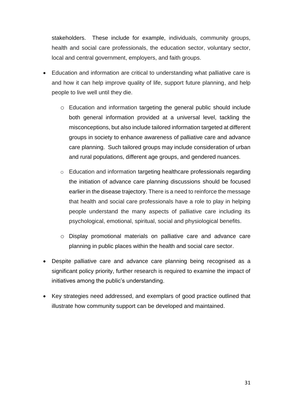stakeholders. These include for example, individuals, community groups, health and social care professionals, the education sector, voluntary sector, local and central government, employers, and faith groups.

- Education and information are critical to understanding what palliative care is and how it can help improve quality of life, support future planning, and help people to live well until they die.
	- o Education and information targeting the general public should include both general information provided at a universal level, tackling the misconceptions, but also include tailored information targeted at different groups in society to enhance awareness of palliative care and advance care planning. Such tailored groups may include consideration of urban and rural populations, different age groups, and gendered nuances.
	- o Education and information targeting healthcare professionals regarding the initiation of advance care planning discussions should be focused earlier in the disease trajectory. There is a need to reinforce the message that health and social care professionals have a role to play in helping people understand the many aspects of palliative care including its psychological, emotional, spiritual, social and physiological benefits.
	- o Display promotional materials on palliative care and advance care planning in public places within the health and social care sector.
- Despite palliative care and advance care planning being recognised as a significant policy priority, further research is required to examine the impact of initiatives among the public's understanding.
- Key strategies need addressed, and exemplars of good practice outlined that illustrate how community support can be developed and maintained.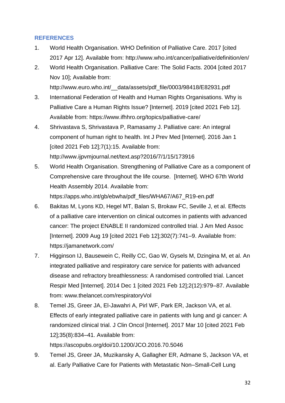## **REFERENCES**

- 1. World Health Organisation. WHO Definition of Palliative Care. 2017 [cited 2017 Apr 12]. Available from: http://www.who.int/cancer/palliative/definition/en/
- 2. World Health Organisation. Palliative Care: The Solid Facts. 2004 [cited 2017 Nov 10]; Available from: http://www.euro.who.int/ data/assets/pdf file/0003/98418/E82931.pdf
- 3. International Federation of Health and Human Rights Organisations. Why is Palliative Care a Human Rights Issue? [Internet]. 2019 [cited 2021 Feb 12]. Available from: https://www.ifhhro.org/topics/palliative-care/
- 4. Shrivastava S, Shrivastava P, Ramasamy J. Palliative care: An integral component of human right to health. Int J Prev Med [Internet]. 2016 Jan 1 [cited 2021 Feb 12];7(1):15. Available from: http://www.ijpvmjournal.net/text.asp?2016/7/1/15/173916
- 5. World Health Organisation. Strengthening of Palliative Care as a component of Comprehensive care throughout the life course. [Internet]. WHO 67th World Health Assembly 2014. Available from: https://apps.who.int/gb/ebwha/pdf\_files/WHA67/A67\_R19-en.pdf
- 6. Bakitas M, Lyons KD, Hegel MT, Balan S, Brokaw FC, Seville J, et al. Effects of a palliative care intervention on clinical outcomes in patients with advanced cancer: The project ENABLE II randomized controlled trial. J Am Med Assoc [Internet]. 2009 Aug 19 [cited 2021 Feb 12];302(7):741–9. Available from: https://jamanetwork.com/
- 7. Higginson IJ, Bausewein C, Reilly CC, Gao W, Gysels M, Dzingina M, et al. An integrated palliative and respiratory care service for patients with advanced disease and refractory breathlessness: A randomised controlled trial. Lancet Respir Med [Internet]. 2014 Dec 1 [cited 2021 Feb 12];2(12):979–87. Available from: www.thelancet.com/respiratoryVol
- 8. Temel JS, Greer JA, El-Jawahri A, Pirl WF, Park ER, Jackson VA, et al. Effects of early integrated palliative care in patients with lung and gi cancer: A randomized clinical trial. J Clin Oncol [Internet]. 2017 Mar 10 [cited 2021 Feb 12];35(8):834–41. Available from: https://ascopubs.org/doi/10.1200/JCO.2016.70.5046
- 9. Temel JS, Greer JA, Muzikansky A, Gallagher ER, Admane S, Jackson VA, et al. Early Palliative Care for Patients with Metastatic Non–Small-Cell Lung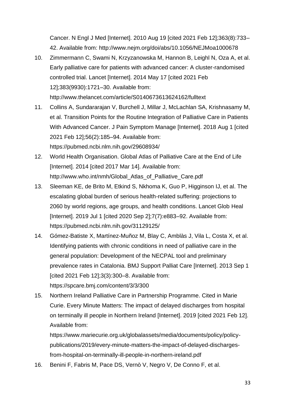Cancer. N Engl J Med [Internet]. 2010 Aug 19 [cited 2021 Feb 12];363(8):733– 42. Available from: http://www.nejm.org/doi/abs/10.1056/NEJMoa1000678

10. Zimmermann C, Swami N, Krzyzanowska M, Hannon B, Leighl N, Oza A, et al. Early palliative care for patients with advanced cancer: A cluster-randomised controlled trial. Lancet [Internet]. 2014 May 17 [cited 2021 Feb 12];383(9930):1721–30. Available from:

http://www.thelancet.com/article/S0140673613624162/fulltext

- 11. Collins A, Sundararajan V, Burchell J, Millar J, McLachlan SA, Krishnasamy M, et al. Transition Points for the Routine Integration of Palliative Care in Patients With Advanced Cancer. J Pain Symptom Manage [Internet]. 2018 Aug 1 [cited 2021 Feb 12];56(2):185–94. Available from: https://pubmed.ncbi.nlm.nih.gov/29608934/
- 12. World Health Organisation. Global Atlas of Palliative Care at the End of Life [Internet]. 2014 [cited 2017 Mar 14]. Available from: http://www.who.int/nmh/Global\_Atlas\_of\_Palliative\_Care.pdf
- 13. Sleeman KE, de Brito M, Etkind S, Nkhoma K, Guo P, Higginson IJ, et al. The escalating global burden of serious health-related suffering: projections to 2060 by world regions, age groups, and health conditions. Lancet Glob Heal [Internet]. 2019 Jul 1 [cited 2020 Sep 2];7(7):e883–92. Available from: https://pubmed.ncbi.nlm.nih.gov/31129125/
- 14. Gómez-Batiste X, Martínez-Muñoz M, Blay C, Amblàs J, Vila L, Costa X, et al. Identifying patients with chronic conditions in need of palliative care in the general population: Development of the NECPAL tool and preliminary prevalence rates in Catalonia. BMJ Support Palliat Care [Internet]. 2013 Sep 1 [cited 2021 Feb 12];3(3):300–8. Available from: https://spcare.bmj.com/content/3/3/300
- 15. Northern Ireland Palliative Care in Partnership Programme. Cited in Marie Curie. Every Minute Matters: The impact of delayed discharges from hospital on terminally ill people in Northern Ireland [Internet]. 2019 [cited 2021 Feb 12]. Available from:

https://www.mariecurie.org.uk/globalassets/media/documents/policy/policypublications/2019/every-minute-matters-the-impact-of-delayed-dischargesfrom-hospital-on-terminally-ill-people-in-northern-ireland.pdf

16. Benini F, Fabris M, Pace DS, Vernò V, Negro V, De Conno F, et al.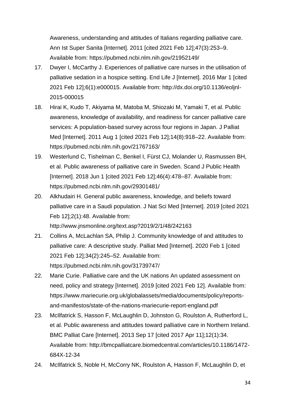Awareness, understanding and attitudes of Italians regarding palliative care. Ann Ist Super Sanita [Internet]. 2011 [cited 2021 Feb 12];47(3):253–9. Available from: https://pubmed.ncbi.nlm.nih.gov/21952149/

- 17. Dwyer I, McCarthy J. Experiences of palliative care nurses in the utilisation of palliative sedation in a hospice setting. End Life J [Internet]. 2016 Mar 1 [cited 2021 Feb 12];6(1):e000015. Available from: http://dx.doi.org/10.1136/eoljnl-2015-000015
- 18. Hirai K, Kudo T, Akiyama M, Matoba M, Shiozaki M, Yamaki T, et al. Public awareness, knowledge of availability, and readiness for cancer palliative care services: A population-based survey across four regions in Japan. J Palliat Med [Internet]. 2011 Aug 1 [cited 2021 Feb 12];14(8):918–22. Available from: https://pubmed.ncbi.nlm.nih.gov/21767163/
- 19. Westerlund C, Tishelman C, Benkel I, Fürst CJ, Molander U, Rasmussen BH, et al. Public awareness of palliative care in Sweden. Scand J Public Health [Internet]. 2018 Jun 1 [cited 2021 Feb 12];46(4):478–87. Available from: https://pubmed.ncbi.nlm.nih.gov/29301481/
- 20. Alkhudairi H. General public awareness, knowledge, and beliefs toward palliative care in a Saudi population. J Nat Sci Med [Internet]. 2019 [cited 2021 Feb 12];2(1):48. Available from:

http://www.jnsmonline.org/text.asp?2019/2/1/48/242163

- 21. Collins A, McLachlan SA, Philip J. Community knowledge of and attitudes to palliative care: A descriptive study. Palliat Med [Internet]. 2020 Feb 1 [cited 2021 Feb 12];34(2):245–52. Available from: https://pubmed.ncbi.nlm.nih.gov/31739747/
- 22. Marie Curie. Palliative care and the UK nations An updated assessment on need, policy and strategy [Internet]. 2019 [cited 2021 Feb 12]. Available from: https://www.mariecurie.org.uk/globalassets/media/documents/policy/reportsand-manifestos/state-of-the-nations-mariecurie-report-england.pdf
- 23. McIlfatrick S, Hasson F, McLaughlin D, Johnston G, Roulston A, Rutherford L, et al. Public awareness and attitudes toward palliative care in Northern Ireland. BMC Palliat Care [Internet]. 2013 Sep 17 [cited 2017 Apr 11];12(1):34. Available from: http://bmcpalliatcare.biomedcentral.com/articles/10.1186/1472- 684X-12-34
- 24. McIlfatrick S, Noble H, McCorry NK, Roulston A, Hasson F, McLaughlin D, et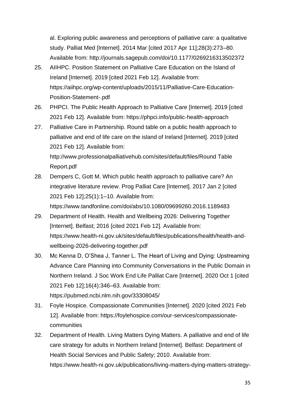al. Exploring public awareness and perceptions of palliative care: a qualitative study. Palliat Med [Internet]. 2014 Mar [cited 2017 Apr 11];28(3):273–80. Available from: http://journals.sagepub.com/doi/10.1177/0269216313502372

- 25. AIIHPC. Position Statement on Palliative Care Education on the Island of Ireland [Internet]. 2019 [cited 2021 Feb 12]. Available from: https://aiihpc.org/wp-content/uploads/2015/11/Palliative-Care-Education-Position-Statement-.pdf
- 26. PHPCI. The Public Health Approach to Palliative Care [Internet]. 2019 [cited 2021 Feb 12]. Available from: https://phpci.info/public-health-approach
- 27. Palliative Care in Partnership. Round table on a public health approach to palliative and end of life care on the island of Ireland [Internet]. 2019 [cited 2021 Feb 12]. Available from:

http://www.professionalpalliativehub.com/sites/default/files/Round Table Report.pdf

- 28. Dempers C, Gott M. Which public health approach to palliative care? An integrative literature review. Prog Palliat Care [Internet]. 2017 Jan 2 [cited 2021 Feb 12];25(1):1–10. Available from: https://www.tandfonline.com/doi/abs/10.1080/09699260.2016.1189483
- 29. Department of Health. Health and Wellbeing 2026: Delivering Together [Internet]. Belfast; 2016 [cited 2021 Feb 12]. Available from: https://www.health-ni.gov.uk/sites/default/files/publications/health/health-andwellbeing-2026-delivering-together.pdf
- 30. Mc Kenna D, O'Shea J, Tanner L. The Heart of Living and Dying: Upstreaming Advance Care Planning into Community Conversations in the Public Domain in Northern Ireland. J Soc Work End Life Palliat Care [Internet]. 2020 Oct 1 [cited 2021 Feb 12];16(4):346–63. Available from: https://pubmed.ncbi.nlm.nih.gov/33308045/
- 31. Foyle Hospice. Compassionate Communities [Internet]. 2020 [cited 2021 Feb 12]. Available from: https://foylehospice.com/our-services/compassionatecommunities
- 32. Department of Health. Living Matters Dying Matters. A palliative and end of life care strategy for adults in Northern Ireland [Internet]. Belfast: Department of Health Social Services and Public Safety; 2010. Available from: https://www.health-ni.gov.uk/publications/living-matters-dying-matters-strategy-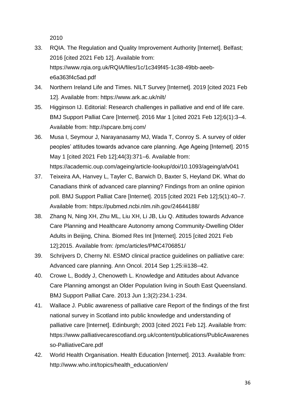2010

- 33. RQIA. The Regulation and Quality Improvement Authority [Internet]. Belfast; 2016 [cited 2021 Feb 12]. Available from: https://www.rqia.org.uk/RQIA/files/1c/1c349f45-1c38-49bb-aeebe6a363f4c5ad.pdf
- 34. Northern Ireland Life and Times. NILT Survey [Internet]. 2019 [cited 2021 Feb 12]. Available from: https://www.ark.ac.uk/nilt/
- 35. Higginson IJ. Editorial: Research challenges in palliative and end of life care. BMJ Support Palliat Care [Internet]. 2016 Mar 1 [cited 2021 Feb 12];6(1):3–4. Available from: http://spcare.bmj.com/
- 36. Musa I, Seymour J, Narayanasamy MJ, Wada T, Conroy S. A survey of older peoples' attitudes towards advance care planning. Age Ageing [Internet]. 2015 May 1 [cited 2021 Feb 12];44(3):371–6. Available from: https://academic.oup.com/ageing/article-lookup/doi/10.1093/ageing/afv041
- 37. Teixeira AA, Hanvey L, Tayler C, Barwich D, Baxter S, Heyland DK. What do Canadians think of advanced care planning? Findings from an online opinion poll. BMJ Support Palliat Care [Internet]. 2015 [cited 2021 Feb 12];5(1):40–7. Available from: https://pubmed.ncbi.nlm.nih.gov/24644188/
- 38. Zhang N, Ning XH, Zhu ML, Liu XH, Li JB, Liu Q. Attitudes towards Advance Care Planning and Healthcare Autonomy among Community-Dwelling Older Adults in Beijing, China. Biomed Res Int [Internet]. 2015 [cited 2021 Feb 12];2015. Available from: /pmc/articles/PMC4706851/
- 39. Schrijvers D, Cherny NI. ESMO clinical practice guidelines on palliative care: Advanced care planning. Ann Oncol. 2014 Sep 1;25:iii138–42.
- 40. Crowe L, Boddy J, Chenoweth L. Knowledge and Attitudes about Advance Care Planning amongst an Older Population living in South East Queensland. BMJ Support Palliat Care. 2013 Jun 1;3(2):234.1-234.
- 41. Wallace J. Public awareness of palliative care Report of the findings of the first national survey in Scotland into public knowledge and understanding of palliative care [Internet]. Edinburgh; 2003 [cited 2021 Feb 12]. Available from: https://www.palliativecarescotland.org.uk/content/publications/PublicAwarenes so-PalliativeCare.pdf
- 42. World Health Organisation. Health Education [Internet]. 2013. Available from: http://www.who.int/topics/health\_education/en/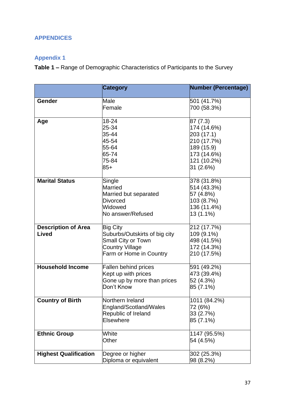## **APPENDICES**

## **Appendix 1**

**Table 1 –** Range of Demographic Characteristics of Participants to the Survey

|                              | <b>Category</b>               | Number (Percentage)        |
|------------------------------|-------------------------------|----------------------------|
|                              |                               |                            |
| <b>Gender</b>                | Male<br>Female                | 501 (41.7%)<br>700 (58.3%) |
|                              |                               |                            |
| Age                          | 18-24                         | 87(7.3)                    |
|                              | 25-34                         | 174 (14.6%)                |
|                              | 35-44                         | 203 (17.1)                 |
|                              | 45-54                         | 210 (17.7%)                |
|                              | 55-64                         | 189 (15.9)                 |
|                              | 65-74                         | 173 (14.6%)                |
|                              | 75-84                         | 121 (10.2%)                |
|                              | 85+                           | 31 (2.6%)                  |
| <b>Marital Status</b>        | Single                        | 378 (31.8%)                |
|                              | <b>Married</b>                | 514 (43.3%)                |
|                              | Married but separated         | 57 (4.8%)                  |
|                              | Divorced                      | 103 (8.7%)                 |
|                              | Widowed                       | 136 (11.4%)                |
|                              | No answer/Refused             | 13 (1.1%)                  |
|                              |                               |                            |
| <b>Description of Area</b>   | <b>Big City</b>               | 212 (17.7%)                |
| <b>Lived</b>                 | Suburbs/Outskirts of big city | 109 (9.1%)                 |
|                              | Small City or Town            | 498 (41.5%)                |
|                              | <b>Country Village</b>        | 172 (14.3%)                |
|                              | Farm or Home in Country       | 210 (17.5%)                |
| <b>Household Income</b>      | Fallen behind prices          | 591 (49.2%)                |
|                              | Kept up with prices           | 473 (39.4%)                |
|                              | Gone up by more than prices   | 52 (4.3%)                  |
|                              | Don't Know                    | 85 (7.1%)                  |
|                              |                               |                            |
| <b>Country of Birth</b>      | Northern Ireland              | 1011 (84.2%)               |
|                              | England/Scotland/Wales        | 72 (6%)                    |
|                              | Republic of Ireland           | 33 (2.7%)                  |
|                              | Elsewhere                     | 85 (7.1%)                  |
| <b>Ethnic Group</b>          | White                         | 1147 (95.5%)               |
|                              | Other                         | 54 (4.5%)                  |
|                              |                               |                            |
| <b>Highest Qualification</b> | Degree or higher              | 302 (25.3%)                |
|                              | Diploma or equivalent         | 98 (8.2%)                  |